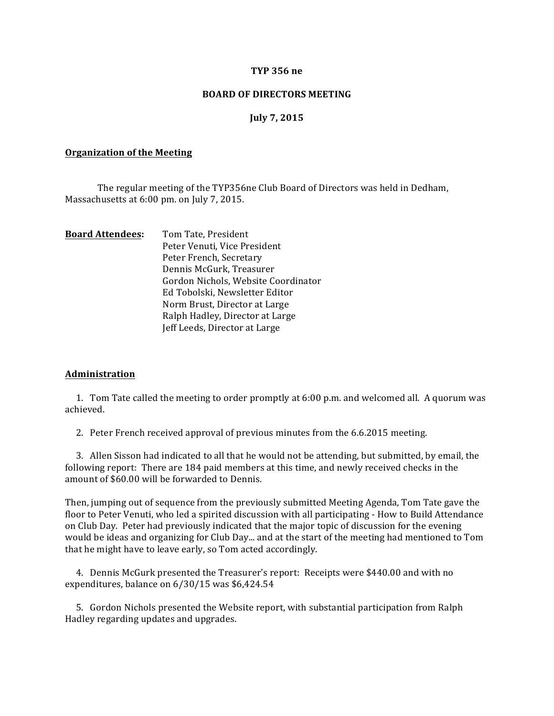### **TYP 356 ne**

### **BOARD OF DIRECTORS MEETING**

### **July 7, 2015**

#### **Organization of the Meeting**

The regular meeting of the TYP356ne Club Board of Directors was held in Dedham, Massachusetts at 6:00 pm. on July 7, 2015.

| <b>Board Attendees:</b> | Tom Tate, President                 |
|-------------------------|-------------------------------------|
|                         | Peter Venuti, Vice President        |
|                         | Peter French, Secretary             |
|                         | Dennis McGurk, Treasurer            |
|                         | Gordon Nichols, Website Coordinator |
|                         | Ed Tobolski, Newsletter Editor      |
|                         | Norm Brust, Director at Large       |
|                         | Ralph Hadley, Director at Large     |
|                         | Jeff Leeds, Director at Large       |
|                         |                                     |

#### **Administration**

1. Tom Tate called the meeting to order promptly at 6:00 p.m. and welcomed all. A quorum was achieved.

2. Peter French received approval of previous minutes from the 6.6.2015 meeting.

3. Allen Sisson had indicated to all that he would not be attending, but submitted, by email, the following report: There are 184 paid members at this time, and newly received checks in the amount of \$60.00 will be forwarded to Dennis.

Then, jumping out of sequence from the previously submitted Meeting Agenda, Tom Tate gave the floor to Peter Venuti, who led a spirited discussion with all participating - How to Build Attendance on Club Day. Peter had previously indicated that the major topic of discussion for the evening would be ideas and organizing for Club Day... and at the start of the meeting had mentioned to Tom that he might have to leave early, so Tom acted accordingly.

4. Dennis McGurk presented the Treasurer's report: Receipts were \$440.00 and with no expenditures, balance on  $6/30/15$  was \$6,424.54

5. Gordon Nichols presented the Website report, with substantial participation from Ralph Hadley regarding updates and upgrades.